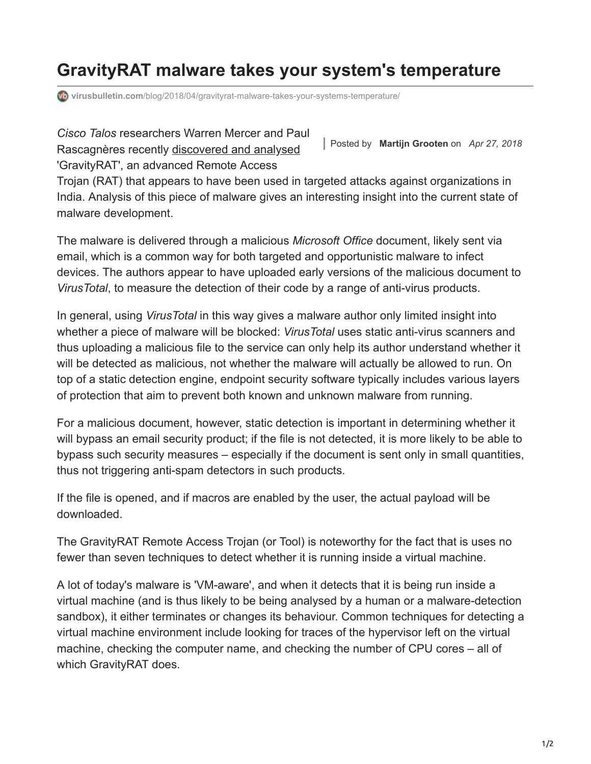# **GravityRAT malware takes your system's temperature**

**virusbulletin.com**[/blog/2018/04/gravityrat-malware-takes-your-systems-temperature/](https://www.virusbulletin.com/blog/2018/04/gravityrat-malware-takes-your-systems-temperature/)

Posted by **Martijn Grooten** on *Apr 27, 2018 Cisco Talos* researchers Warren Mercer and Paul Rascagnères recently [discovered and analysed](https://blog.talosintelligence.com/2018/04/gravityrat-two-year-evolution-of-apt.html) 'GravityRAT', an advanced Remote Access

Trojan (RAT) that appears to have been used in targeted attacks against organizations in India. Analysis of this piece of malware gives an interesting insight into the current state of malware development.

The malware is delivered through a malicious *Microsoft Office* document, likely sent via email, which is a common way for both targeted and opportunistic malware to infect devices. The authors appear to have uploaded early versions of the malicious document to *VirusTotal*, to measure the detection of their code by a range of anti-virus products.

In general, using *VirusTotal* in this way gives a malware author only limited insight into whether a piece of malware will be blocked: *VirusTotal* uses static anti-virus scanners and thus uploading a malicious file to the service can only help its author understand whether it will be detected as malicious, not whether the malware will actually be allowed to run. On top of a static detection engine, endpoint security software typically includes various layers of protection that aim to prevent both known and unknown malware from running.

For a malicious document, however, static detection is important in determining whether it will bypass an email security product; if the file is not detected, it is more likely to be able to bypass such security measures – especially if the document is sent only in small quantities, thus not triggering anti-spam detectors in such products.

If the file is opened, and if macros are enabled by the user, the actual payload will be downloaded.

The GravityRAT Remote Access Trojan (or Tool) is noteworthy for the fact that is uses no fewer than seven techniques to detect whether it is running inside a virtual machine.

A lot of today's malware is 'VM-aware', and when it detects that it is being run inside a virtual machine (and is thus likely to be being analysed by a human or a malware-detection sandbox), it either terminates or changes its behaviour. Common techniques for detecting a virtual machine environment include looking for traces of the hypervisor left on the virtual machine, checking the computer name, and checking the number of CPU cores – all of which GravityRAT does.